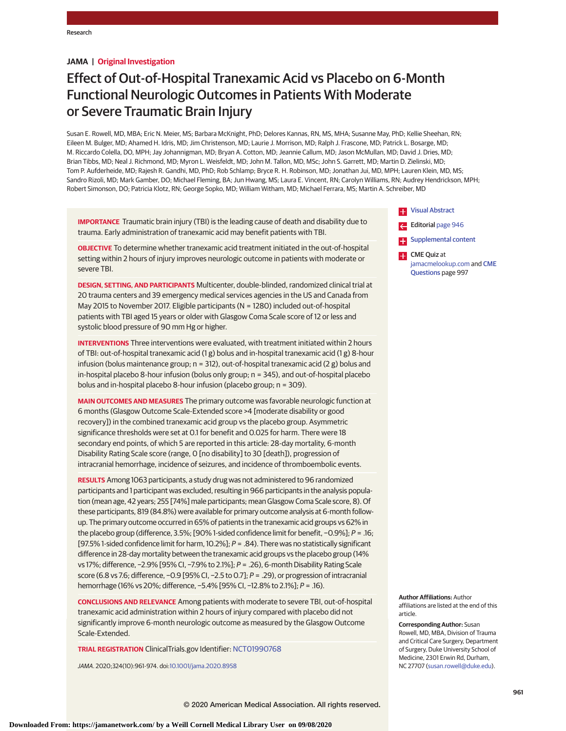# **JAMA | Original Investigation**

# Effect of Out-of-Hospital Tranexamic Acid vs Placebo on 6-Month Functional Neurologic Outcomes in Patients With Moderate or Severe Traumatic Brain Injury

Susan E. Rowell, MD, MBA; Eric N. Meier, MS; Barbara McKnight, PhD; Delores Kannas, RN, MS, MHA; Susanne May, PhD; Kellie Sheehan, RN; Eileen M. Bulger, MD; Ahamed H. Idris, MD; Jim Christenson, MD; Laurie J. Morrison, MD; Ralph J. Frascone, MD; Patrick L. Bosarge, MD; M. Riccardo Colella, DO, MPH; Jay Johannigman, MD; Bryan A. Cotton, MD; Jeannie Callum, MD; Jason McMullan, MD; David J. Dries, MD; Brian Tibbs, MD; Neal J. Richmond, MD; Myron L. Weisfeldt, MD; John M. Tallon, MD, MSc; John S. Garrett, MD; Martin D. Zielinski, MD; Tom P. Aufderheide, MD; Rajesh R. Gandhi, MD, PhD; Rob Schlamp; Bryce R. H. Robinson, MD; Jonathan Jui, MD, MPH; Lauren Klein, MD, MS; Sandro Rizoli, MD; Mark Gamber, DO; Michael Fleming, BA; Jun Hwang, MS; Laura E. Vincent, RN; Carolyn Williams, RN; Audrey Hendrickson, MPH; Robert Simonson, DO; Patricia Klotz, RN; George Sopko, MD; William Witham, MD; Michael Ferrara, MS; Martin A. Schreiber, MD

**IMPORTANCE** Traumatic brain injury (TBI) is the leading cause of death and disability due to trauma. Early administration of tranexamic acid may benefit patients with TBI.

**OBJECTIVE** To determine whether tranexamic acid treatment initiated in the out-of-hospital setting within 2 hours of injury improves neurologic outcome in patients with moderate or severe TBI.

**DESIGN, SETTING, AND PARTICIPANTS** Multicenter, double-blinded, randomized clinical trial at 20 trauma centers and 39 emergency medical services agencies in the US and Canada from May 2015 to November 2017. Eligible participants (N = 1280) included out-of-hospital patients with TBI aged 15 years or older with Glasgow Coma Scale score of 12 or less and systolic blood pressure of 90 mm Hg or higher.

**INTERVENTIONS** Three interventions were evaluated, with treatment initiated within 2 hours of TBI: out-of-hospital tranexamic acid (1 g) bolus and in-hospital tranexamic acid (1 g) 8-hour infusion (bolus maintenance group; n = 312), out-of-hospital tranexamic acid (2 g) bolus and in-hospital placebo 8-hour infusion (bolus only group; n = 345), and out-of-hospital placebo bolus and in-hospital placebo 8-hour infusion (placebo group; n = 309).

**MAIN OUTCOMES AND MEASURES** The primary outcome was favorable neurologic function at 6 months (Glasgow Outcome Scale-Extended score >4 [moderate disability or good recovery]) in the combined tranexamic acid group vs the placebo group. Asymmetric significance thresholds were set at 0.1 for benefit and 0.025 for harm. There were 18 secondary end points, of which 5 are reported in this article: 28-day mortality, 6-month Disability Rating Scale score (range, 0 [no disability] to 30 [death]), progression of intracranial hemorrhage, incidence of seizures, and incidence of thromboembolic events.

**RESULTS** Among 1063 participants, a study drug was not administered to 96 randomized participants and 1 participant was excluded, resulting in 966 participants in the analysis population (mean age, 42 years; 255 [74%] male participants; mean Glasgow Coma Scale score, 8). Of these participants, 819 (84.8%) were available for primary outcome analysis at 6-month followup. The primary outcome occurred in 65% of patients in the tranexamic acid groups vs 62% in the placebo group (difference, 3.5%; [90% 1-sided confidence limit for benefit, −0.9%]; P = .16; [97.5% 1-sided confidence limit for harm, 10.2%];  $P = .84$ ). There was no statistically significant difference in 28-day mortality between the tranexamic acid groups vs the placebo group (14% vs 17%; difference, −2.9% [95% CI, −7.9% to 2.1%]; P = .26), 6-month Disability Rating Scale score (6.8 vs 7.6; difference, −0.9 [95% CI, −2.5 to 0.7]; P = .29), or progression of intracranial hemorrhage (16% vs 20%; difference, -5.4% [95% CI, -12.8% to 2.1%]; P = .16).

**CONCLUSIONS AND RELEVANCE** Among patients with moderate to severe TBI, out-of-hospital tranexamic acid administration within 2 hours of injury compared with placebo did not significantly improve 6-month neurologic outcome as measured by the Glasgow Outcome Scale-Extended.

**TRIAL REGISTRATION** ClinicalTrials.gov Identifier: [NCT01990768](https://clinicaltrials.gov/ct2/show/NCT01990768)

JAMA. 2020;324(10):961-974. doi[:10.1001/jama.2020.8958](https://jamanetwork.com/journals/jama/fullarticle/10.1001/jama.2020.8958?utm_campaign=articlePDF%26utm_medium=articlePDFlink%26utm_source=articlePDF%26utm_content=jama.2020.8958)

# **Example 3 [Visual Abstract](https://jamanetwork.com/journals/jama/fullarticle/10.1001/jama.2020.8958?utm_campaign=articlePDF%26utm_medium=articlePDFlink%26utm_source=articlePDF%26utm_content=jama.2020.8958)**

- Editorial [page 946](https://jamanetwork.com/journals/jama/fullarticle/10.1001/jama.2020.9244?utm_campaign=articlePDF%26utm_medium=articlePDFlink%26utm_source=articlePDF%26utm_content=jama.2020.8958)
- **Examplemental content**
- **CME** Quiz at [jamacmelookup.com](https://jama.jamanetwork.com/learning/article-quiz/10.1001/jama.2020.8958?utm_campaign=articlePDF%26utm_medium=articlePDFlink%26utm_source=articlePDF%26utm_content=jama.2020.8958) and [CME](https://jama.jamanetwork.com/learning/article-quiz/10.1001/jama.2020.8958?utm_campaign=articlePDF%26utm_medium=articlePDFlink%26utm_source=articlePDF%26utm_content=jama.2020.8958) [Questions](https://jama.jamanetwork.com/learning/article-quiz/10.1001/jama.2020.8958?utm_campaign=articlePDF%26utm_medium=articlePDFlink%26utm_source=articlePDF%26utm_content=jama.2020.8958) page 997

**Author Affiliations:** Author affiliations are listed at the end of this article.

**Corresponding Author:** Susan Rowell, MD, MBA, Division of Trauma and Critical Care Surgery, Department of Surgery, Duke University School of Medicine, 2301 Erwin Rd, Durham, NC 27707 [\(susan.rowell@duke.edu\)](mailto:susan.rowell@duke.edu).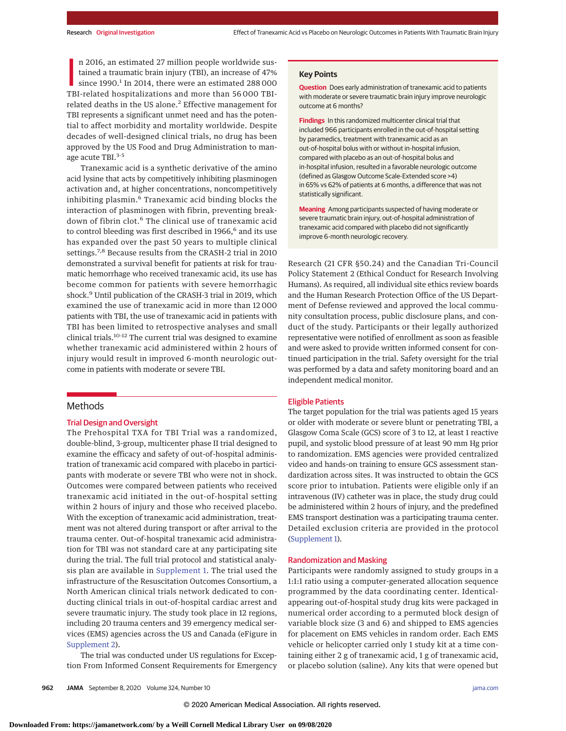n 2016, an estimated 27 million people worldwide sustained a traumatic brain injury (TBI), an increase of 47% since 1990.<sup>1</sup> In 2014, there were an estimated 288 000 TBI-related hospitalizations and more than 56 000 TBIn 2016, an estimated 27 million people worldwide sustained a traumatic brain injury (TBI), an increase of 47% since  $1990<sup>1</sup>$  In 2014, there were an estimated 288 000 related deaths in the US alone.<sup>2</sup> Effective management for TBI represents a significant unmet need and has the potential to affect morbidity and mortality worldwide. Despite decades of well-designed clinical trials, no drug has been approved by the US Food and Drug Administration to manage acute TBI.<sup>3-5</sup>

Tranexamic acid is a synthetic derivative of the amino acid lysine that acts by competitively inhibiting plasminogen activation and, at higher concentrations, noncompetitively inhibiting plasmin.<sup>6</sup> Tranexamic acid binding blocks the interaction of plasminogen with fibrin, preventing breakdown of fibrin clot.<sup>6</sup> The clinical use of tranexamic acid to control bleeding was first described in  $1966$ ,<sup>6</sup> and its use has expanded over the past 50 years to multiple clinical settings.<sup>7,8</sup> Because results from the CRASH-2 trial in 2010 demonstrated a survival benefit for patients at risk for traumatic hemorrhage who received tranexamic acid, its use has become common for patients with severe hemorrhagic shock.<sup>9</sup> Until publication of the CRASH-3 trial in 2019, which examined the use of tranexamic acid in more than 12 000 patients with TBI, the use of tranexamic acid in patients with TBI has been limited to retrospective analyses and small clinical trials.10-12 The current trial was designed to examine whether tranexamic acid administered within 2 hours of injury would result in improved 6-month neurologic outcome in patients with moderate or severe TBI.

# Methods

## Trial Design and Oversight

The Prehospital TXA for TBI Trial was a randomized, double-blind, 3-group, multicenter phase II trial designed to examine the efficacy and safety of out-of-hospital administration of tranexamic acid compared with placebo in participants with moderate or severe TBI who were not in shock. Outcomes were compared between patients who received tranexamic acid initiated in the out-of-hospital setting within 2 hours of injury and those who received placebo. With the exception of tranexamic acid administration, treatment was not altered during transport or after arrival to the trauma center. Out-of-hospital tranexamic acid administration for TBI was not standard care at any participating site during the trial. The full trial protocol and statistical analysis plan are available in [Supplement 1.](https://jamanetwork.com/journals/jama/fullarticle/10.1001/jama.2020.8958?utm_campaign=articlePDF%26utm_medium=articlePDFlink%26utm_source=articlePDF%26utm_content=jama.2020.8958) The trial used the infrastructure of the Resuscitation Outcomes Consortium, a North American clinical trials network dedicated to conducting clinical trials in out-of-hospital cardiac arrest and severe traumatic injury. The study took place in 12 regions, including 20 trauma centers and 39 emergency medical services (EMS) agencies across the US and Canada (eFigure in [Supplement 2\)](https://jamanetwork.com/journals/jama/fullarticle/10.1001/jama.2020.8958?utm_campaign=articlePDF%26utm_medium=articlePDFlink%26utm_source=articlePDF%26utm_content=jama.2020.8958).

The trial was conducted under US regulations for Exception From Informed Consent Requirements for Emergency **Question** Does early administration of tranexamic acid to patients with moderate or severe traumatic brain injury improve neurologic outcome at 6 months?

**Findings** In this randomized multicenter clinical trial that included 966 participants enrolled in the out-of-hospital setting by paramedics, treatment with tranexamic acid as an out-of-hospital bolus with or without in-hospital infusion, compared with placebo as an out-of-hospital bolus and in-hospital infusion, resulted in a favorable neurologic outcome (defined as Glasgow Outcome Scale-Extended score >4) in 65% vs 62% of patients at 6 months, a difference that was not statistically significant.

**Meaning** Among participants suspected of having moderate or severe traumatic brain injury, out-of-hospital administration of tranexamic acid compared with placebo did not significantly improve 6-month neurologic recovery.

Research (21 CFR §50.24) and the Canadian Tri-Council Policy Statement 2 (Ethical Conduct for Research Involving Humans). As required, all individual site ethics review boards and the Human Research Protection Office of the US Department of Defense reviewed and approved the local community consultation process, public disclosure plans, and conduct of the study. Participants or their legally authorized representative were notified of enrollment as soon as feasible and were asked to provide written informed consent for continued participation in the trial. Safety oversight for the trial was performed by a data and safety monitoring board and an independent medical monitor.

## Eligible Patients

The target population for the trial was patients aged 15 years or older with moderate or severe blunt or penetrating TBI, a Glasgow Coma Scale (GCS) score of 3 to 12, at least 1 reactive pupil, and systolic blood pressure of at least 90 mm Hg prior to randomization. EMS agencies were provided centralized video and hands-on training to ensure GCS assessment standardization across sites. It was instructed to obtain the GCS score prior to intubation. Patients were eligible only if an intravenous (IV) catheter was in place, the study drug could be administered within 2 hours of injury, and the predefined EMS transport destination was a participating trauma center. Detailed exclusion criteria are provided in the protocol [\(Supplement 1\)](https://jamanetwork.com/journals/jama/fullarticle/10.1001/jama.2020.8958?utm_campaign=articlePDF%26utm_medium=articlePDFlink%26utm_source=articlePDF%26utm_content=jama.2020.8958).

## Randomization and Masking

Participants were randomly assigned to study groups in a 1:1:1 ratio using a computer-generated allocation sequence programmed by the data coordinating center. Identicalappearing out-of-hospital study drug kits were packaged in numerical order according to a permuted block design of variable block size (3 and 6) and shipped to EMS agencies for placement on EMS vehicles in random order. Each EMS vehicle or helicopter carried only 1 study kit at a time containing either 2 g of tranexamic acid, 1 g of tranexamic acid, or placebo solution (saline). Any kits that were opened but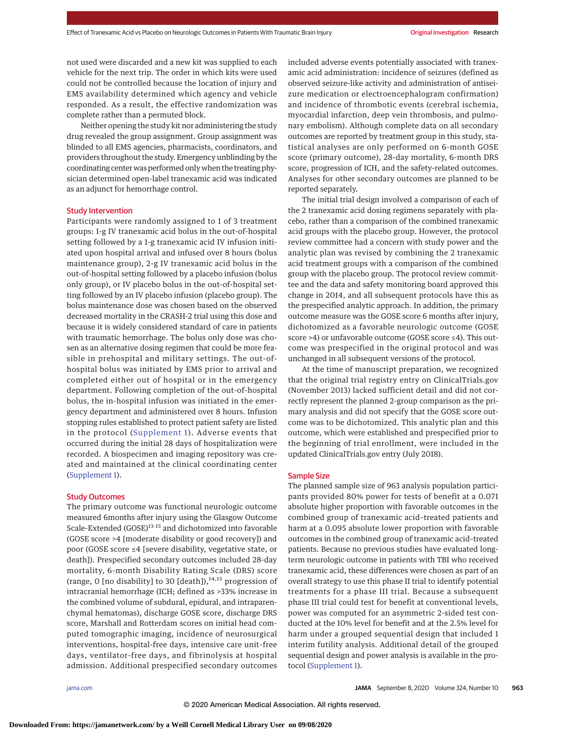not used were discarded and a new kit was supplied to each vehicle for the next trip. The order in which kits were used could not be controlled because the location of injury and EMS availability determined which agency and vehicle responded. As a result, the effective randomization was complete rather than a permuted block.

Neither opening the study kit nor administering the study drug revealed the group assignment. Group assignment was blinded to all EMS agencies, pharmacists, coordinators, and providers throughout the study. Emergency unblinding by the coordinating center was performed only when the treating physician determined open-label tranexamic acid was indicated as an adjunct for hemorrhage control.

## Study Intervention

Participants were randomly assigned to 1 of 3 treatment groups: 1-g IV tranexamic acid bolus in the out-of-hospital setting followed by a 1-g tranexamic acid IV infusion initiated upon hospital arrival and infused over 8 hours (bolus maintenance group), 2-g IV tranexamic acid bolus in the out-of-hospital setting followed by a placebo infusion (bolus only group), or IV placebo bolus in the out-of-hospital setting followed by an IV placebo infusion (placebo group). The bolus maintenance dose was chosen based on the observed decreased mortality in the CRASH-2 trial using this dose and because it is widely considered standard of care in patients with traumatic hemorrhage. The bolus only dose was chosen as an alternative dosing regimen that could be more feasible in prehospital and military settings. The out-ofhospital bolus was initiated by EMS prior to arrival and completed either out of hospital or in the emergency department. Following completion of the out-of-hospital bolus, the in-hospital infusion was initiated in the emergency department and administered over 8 hours. Infusion stopping rules established to protect patient safety are listed in the protocol [\(Supplement 1\)](https://jamanetwork.com/journals/jama/fullarticle/10.1001/jama.2020.8958?utm_campaign=articlePDF%26utm_medium=articlePDFlink%26utm_source=articlePDF%26utm_content=jama.2020.8958). Adverse events that occurred during the initial 28 days of hospitalization were recorded. A biospecimen and imaging repository was created and maintained at the clinical coordinating center [\(Supplement 1\)](https://jamanetwork.com/journals/jama/fullarticle/10.1001/jama.2020.8958?utm_campaign=articlePDF%26utm_medium=articlePDFlink%26utm_source=articlePDF%26utm_content=jama.2020.8958).

# Study Outcomes

The primary outcome was functional neurologic outcome measured 6months after injury using the Glasgow Outcome Scale-Extended (GOSE)13-15 and dichotomized into favorable (GOSE score >4 [moderate disability or good recovery]) and poor (GOSE score ≤4 [severe disability, vegetative state, or death]). Prespecified secondary outcomes included 28-day mortality, 6-month Disability Rating Scale (DRS) score (range, 0 [no disability] to 30 [death]), $14,15$  progression of intracranial hemorrhage (ICH; defined as >33% increase in the combined volume of subdural, epidural, and intraparenchymal hematomas), discharge GOSE score, discharge DRS score, Marshall and Rotterdam scores on initial head computed tomographic imaging, incidence of neurosurgical interventions, hospital-free days, intensive care unit–free days, ventilator-free days, and fibrinolysis at hospital admission. Additional prespecified secondary outcomes

included adverse events potentially associated with tranexamic acid administration: incidence of seizures (defined as observed seizure-like activity and administration of antiseizure medication or electroencephalogram confirmation) and incidence of thrombotic events (cerebral ischemia, myocardial infarction, deep vein thrombosis, and pulmonary embolism). Although complete data on all secondary outcomes are reported by treatment group in this study, statistical analyses are only performed on 6-month GOSE score (primary outcome), 28-day mortality, 6-month DRS score, progression of ICH, and the safety-related outcomes. Analyses for other secondary outcomes are planned to be reported separately.

The initial trial design involved a comparison of each of the 2 tranexamic acid dosing regimens separately with placebo, rather than a comparison of the combined tranexamic acid groups with the placebo group. However, the protocol review committee had a concern with study power and the analytic plan was revised by combining the 2 tranexamic acid treatment groups with a comparison of the combined group with the placebo group. The protocol review committee and the data and safety monitoring board approved this change in 2014, and all subsequent protocols have this as the prespecified analytic approach. In addition, the primary outcome measure was the GOSE score 6 months after injury, dichotomized as a favorable neurologic outcome (GOSE score >4) or unfavorable outcome (GOSE score ≤4). This outcome was prespecified in the original protocol and was unchanged in all subsequent versions of the protocol.

At the time of manuscript preparation, we recognized that the original trial registry entry on ClinicalTrials.gov (November 2013) lacked sufficient detail and did not correctly represent the planned 2-group comparison as the primary analysis and did not specify that the GOSE score outcome was to be dichotomized. This analytic plan and this outcome, which were established and prespecified prior to the beginning of trial enrollment, were included in the updated ClinicalTrials.gov entry (July 2018).

## Sample Size

The planned sample size of 963 analysis population participants provided 80% power for tests of benefit at a 0.071 absolute higher proportion with favorable outcomes in the combined group of tranexamic acid–treated patients and harm at a 0.095 absolute lower proportion with favorable outcomes in the combined group of tranexamic acid–treated patients. Because no previous studies have evaluated longterm neurologic outcome in patients with TBI who received tranexamic acid, these differences were chosen as part of an overall strategy to use this phase II trial to identify potential treatments for a phase III trial. Because a subsequent phase III trial could test for benefit at conventional levels, power was computed for an asymmetric 2-sided test conducted at the 10% level for benefit and at the 2.5% level for harm under a grouped sequential design that included 1 interim futility analysis. Additional detail of the grouped sequential design and power analysis is available in the protocol [\(Supplement 1\)](https://jamanetwork.com/journals/jama/fullarticle/10.1001/jama.2020.8958?utm_campaign=articlePDF%26utm_medium=articlePDFlink%26utm_source=articlePDF%26utm_content=jama.2020.8958).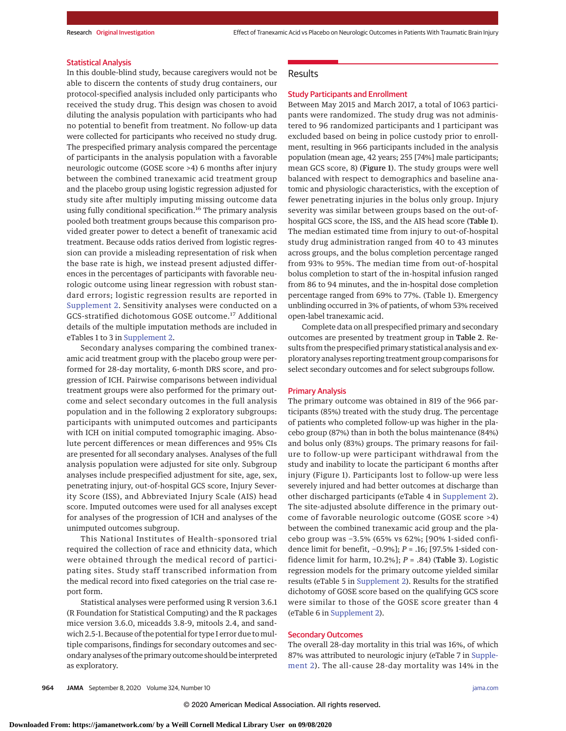#### Statistical Analysis

In this double-blind study, because caregivers would not be able to discern the contents of study drug containers, our protocol-specified analysis included only participants who received the study drug. This design was chosen to avoid diluting the analysis population with participants who had no potential to benefit from treatment. No follow-up data were collected for participants who received no study drug. The prespecified primary analysis compared the percentage of participants in the analysis population with a favorable neurologic outcome (GOSE score >4) 6 months after injury between the combined tranexamic acid treatment group and the placebo group using logistic regression adjusted for study site after multiply imputing missing outcome data using fully conditional specification.<sup>16</sup> The primary analysis pooled both treatment groups because this comparison provided greater power to detect a benefit of tranexamic acid treatment. Because odds ratios derived from logistic regression can provide a misleading representation of risk when the base rate is high, we instead present adjusted differences in the percentages of participants with favorable neurologic outcome using linear regression with robust standard errors; logistic regression results are reported in [Supplement 2.](https://jamanetwork.com/journals/jama/fullarticle/10.1001/jama.2020.8958?utm_campaign=articlePDF%26utm_medium=articlePDFlink%26utm_source=articlePDF%26utm_content=jama.2020.8958) Sensitivity analyses were conducted on a GCS-stratified dichotomous GOSE outcome.<sup>17</sup> Additional details of the multiple imputation methods are included in eTables 1 to 3 in [Supplement 2.](https://jamanetwork.com/journals/jama/fullarticle/10.1001/jama.2020.8958?utm_campaign=articlePDF%26utm_medium=articlePDFlink%26utm_source=articlePDF%26utm_content=jama.2020.8958)

Secondary analyses comparing the combined tranexamic acid treatment group with the placebo group were performed for 28-day mortality, 6-month DRS score, and progression of ICH. Pairwise comparisons between individual treatment groups were also performed for the primary outcome and select secondary outcomes in the full analysis population and in the following 2 exploratory subgroups: participants with unimputed outcomes and participants with ICH on initial computed tomographic imaging. Absolute percent differences or mean differences and 95% CIs are presented for all secondary analyses. Analyses of the full analysis population were adjusted for site only. Subgroup analyses include prespecified adjustment for site, age, sex, penetrating injury, out-of-hospital GCS score, Injury Severity Score (ISS), and Abbreviated Injury Scale (AIS) head score. Imputed outcomes were used for all analyses except for analyses of the progression of ICH and analyses of the unimputed outcomes subgroup.

This National Institutes of Health–sponsored trial required the collection of race and ethnicity data, which were obtained through the medical record of participating sites. Study staff transcribed information from the medical record into fixed categories on the trial case report form.

Statistical analyses were performed using R version 3.6.1 (R Foundation for Statistical Computing) and the R packages mice version 3.6.0, miceadds 3.8-9, mitools 2.4, and sandwich 2.5-1. Because of the potential for type I error due to multiple comparisons, findings for secondary outcomes and secondary analyses of the primary outcome should be interpreted as exploratory.

# Results

#### Study Participants and Enrollment

Between May 2015 and March 2017, a total of 1063 participants were randomized. The study drug was not administered to 96 randomized participants and 1 participant was excluded based on being in police custody prior to enrollment, resulting in 966 participants included in the analysis population (mean age, 42 years; 255 [74%] male participants; mean GCS score, 8) (Figure 1). The study groups were well balanced with respect to demographics and baseline anatomic and physiologic characteristics, with the exception of fewer penetrating injuries in the bolus only group. Injury severity was similar between groups based on the out-ofhospital GCS score, the ISS, and the AIS head score (Table 1). The median estimated time from injury to out-of-hospital study drug administration ranged from 40 to 43 minutes across groups, and the bolus completion percentage ranged from 93% to 95%. The median time from out-of-hospital bolus completion to start of the in-hospital infusion ranged from 86 to 94 minutes, and the in-hospital dose completion percentage ranged from 69% to 77%. (Table 1). Emergency unblinding occurred in 3% of patients, of whom 53% received open-label tranexamic acid.

Complete data on all prespecified primary and secondary outcomes are presented by treatment group in Table 2. Results from the prespecified primary statistical analysis and exploratory analyses reporting treatment group comparisons for select secondary outcomes and for select subgroups follow.

## Primary Analysis

The primary outcome was obtained in 819 of the 966 participants (85%) treated with the study drug. The percentage of patients who completed follow-up was higher in the placebo group (87%) than in both the bolus maintenance (84%) and bolus only (83%) groups. The primary reasons for failure to follow-up were participant withdrawal from the study and inability to locate the participant 6 months after injury (Figure 1). Participants lost to follow-up were less severely injured and had better outcomes at discharge than other discharged participants (eTable 4 in [Supplement 2\)](https://jamanetwork.com/journals/jama/fullarticle/10.1001/jama.2020.8958?utm_campaign=articlePDF%26utm_medium=articlePDFlink%26utm_source=articlePDF%26utm_content=jama.2020.8958). The site-adjusted absolute difference in the primary outcome of favorable neurologic outcome (GOSE score >4) between the combined tranexamic acid group and the placebo group was −3.5% (65% vs 62%; [90% 1-sided confidence limit for benefit, −0.9%]; *P* = .16; [97.5% 1-sided confidence limit for harm, 10.2%]; *P* = .84) (Table 3). Logistic regression models for the primary outcome yielded similar results (eTable 5 in [Supplement 2\)](https://jamanetwork.com/journals/jama/fullarticle/10.1001/jama.2020.8958?utm_campaign=articlePDF%26utm_medium=articlePDFlink%26utm_source=articlePDF%26utm_content=jama.2020.8958). Results for the stratified dichotomy of GOSE score based on the qualifying GCS score were similar to those of the GOSE score greater than 4 (eTable 6 in [Supplement 2\)](https://jamanetwork.com/journals/jama/fullarticle/10.1001/jama.2020.8958?utm_campaign=articlePDF%26utm_medium=articlePDFlink%26utm_source=articlePDF%26utm_content=jama.2020.8958).

# Secondary Outcomes

The overall 28-day mortality in this trial was 16%, of which 87% was attributed to neurologic injury (eTable 7 in [Supple](https://jamanetwork.com/journals/jama/fullarticle/10.1001/jama.2020.8958?utm_campaign=articlePDF%26utm_medium=articlePDFlink%26utm_source=articlePDF%26utm_content=jama.2020.8958)[ment 2\)](https://jamanetwork.com/journals/jama/fullarticle/10.1001/jama.2020.8958?utm_campaign=articlePDF%26utm_medium=articlePDFlink%26utm_source=articlePDF%26utm_content=jama.2020.8958). The all-cause 28-day mortality was 14% in the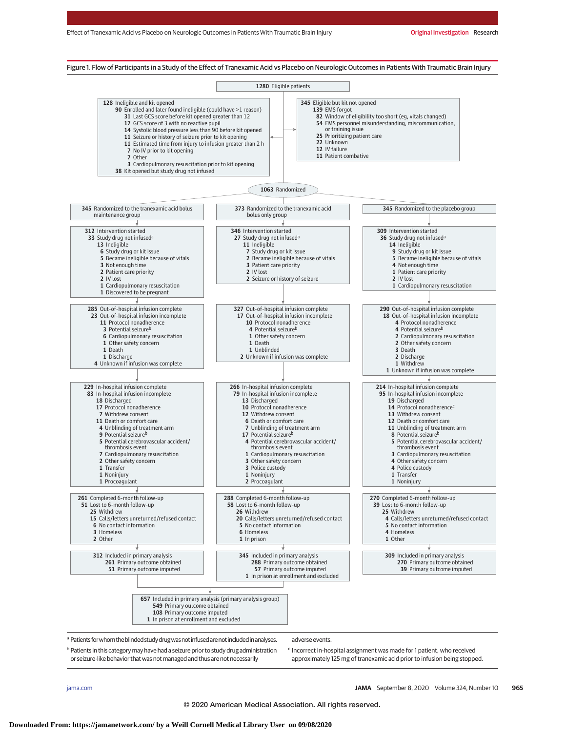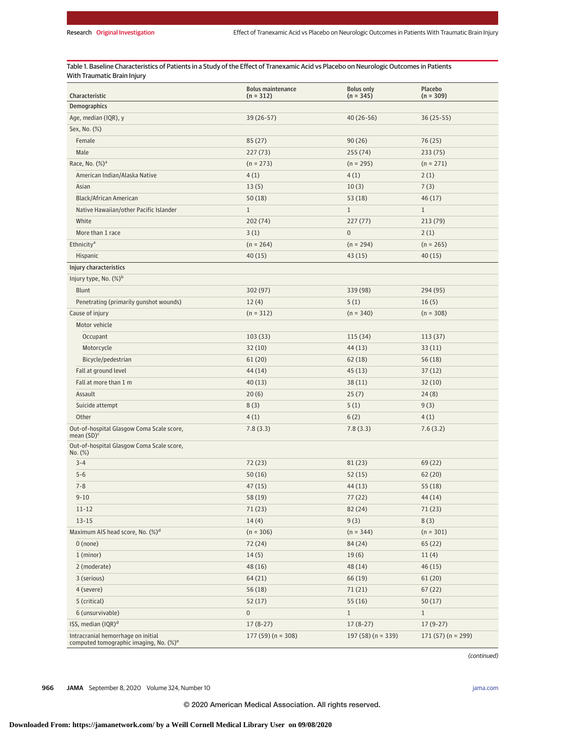Table 1. Baseline Characteristics of Patients in a Study of the Effect of Tranexamic Acid vs Placebo on Neurologic Outcomes in Patients With Traumatic Brain Injury

| Characteristic                                                                           | <b>Bolus maintenance</b><br>$(n = 312)$ | <b>Bolus only</b><br>$(n = 345)$ | Placebo<br>$(n = 309)$ |  |
|------------------------------------------------------------------------------------------|-----------------------------------------|----------------------------------|------------------------|--|
| <b>Demographics</b>                                                                      |                                         |                                  |                        |  |
| Age, median (IQR), y                                                                     | 39 (26-57)                              | $40(26-56)$                      | $36(25-55)$            |  |
| Sex, No. (%)                                                                             |                                         |                                  |                        |  |
| Female                                                                                   | 85(27)                                  | 90(26)                           | 76 (25)                |  |
| Male                                                                                     | 227(73)                                 | 255(74)                          | 233(75)                |  |
| Race, No. (%) <sup>a</sup>                                                               | $(n = 273)$                             | $(n = 295)$                      | $(n = 271)$            |  |
| American Indian/Alaska Native                                                            | 4(1)                                    | 4(1)                             | 2(1)                   |  |
| Asian                                                                                    | 13(5)                                   | 10(3)                            | 7(3)                   |  |
| <b>Black/African American</b>                                                            | 50(18)                                  | 53(18)                           | 46(17)                 |  |
| Native Hawaiian/other Pacific Islander                                                   | $\mathbf{1}$                            | $\mathbf{1}$                     | $\mathbf{1}$           |  |
| White                                                                                    | 202 (74)                                | 227(77)                          | 213(79)                |  |
| More than 1 race                                                                         | 3(1)                                    | $\pmb{0}$                        | 2(1)                   |  |
| Ethnicity <sup>a</sup>                                                                   | $(n = 264)$                             | $(n = 294)$                      | $(n = 265)$            |  |
| Hispanic                                                                                 | 40(15)                                  | 43(15)                           | 40(15)                 |  |
| Injury characteristics                                                                   |                                         |                                  |                        |  |
| Injury type, No. (%) <sup>b</sup>                                                        |                                         |                                  |                        |  |
| Blunt                                                                                    | 302 (97)                                | 339 (98)                         | 294 (95)               |  |
| Penetrating (primarily gunshot wounds)                                                   | 12(4)                                   | 5(1)                             | 16(5)                  |  |
| Cause of injury                                                                          | $(n = 312)$                             | $(n = 340)$                      | $(n = 308)$            |  |
| Motor vehicle                                                                            |                                         |                                  |                        |  |
| Occupant                                                                                 | 103(33)                                 | 115 (34)                         | 113(37)                |  |
| Motorcycle                                                                               | 32(10)                                  | 44(13)                           | 33(11)                 |  |
| Bicycle/pedestrian                                                                       | 61(20)                                  | 62(18)                           | 56 (18)                |  |
| Fall at ground level                                                                     | 44 (14)                                 | 45(13)                           | 37(12)                 |  |
| Fall at more than 1 m                                                                    | 40(13)                                  | 38(11)                           | 32(10)                 |  |
| Assault                                                                                  | 20(6)                                   | 25(7)                            | 24(8)                  |  |
| Suicide attempt                                                                          | 8(3)                                    | 5(1)                             | 9(3)                   |  |
| Other                                                                                    | 4(1)                                    | 6(2)                             | 4(1)                   |  |
| Out-of-hospital Glasgow Coma Scale score,<br>mean $(SD)^c$                               | 7.8(3.3)                                | 7.8(3.3)                         | 7.6(3.2)               |  |
| Out-of-hospital Glasgow Coma Scale score,<br>No. (%)                                     |                                         |                                  |                        |  |
| $3 - 4$                                                                                  | 72 (23)                                 | 81(23)                           | 69 (22)                |  |
| $5 - 6$                                                                                  | 50(16)                                  | 52(15)                           | 62(20)                 |  |
| $7 - 8$                                                                                  | 47(15)                                  | 44 (13)                          | 55(18)                 |  |
| $9 - 10$                                                                                 | 58 (19)                                 | 77 (22)                          | 44 (14)                |  |
| $11 - 12$                                                                                | 71(23)                                  | 82 (24)                          | 71(23)                 |  |
| $13 - 15$                                                                                | 14(4)                                   | 9(3)                             | 8(3)                   |  |
| Maximum AIS head score, No. (%) <sup>d</sup>                                             | $(n = 306)$                             | $(n = 344)$                      | $(n = 301)$            |  |
| $0$ (none)                                                                               | 72 (24)                                 | 84 (24)                          | 65(22)                 |  |
| $1$ (minor)                                                                              | 14(5)                                   | 19(6)                            | 11(4)                  |  |
| 2 (moderate)                                                                             | 48 (16)                                 | 48 (14)                          | 46(15)                 |  |
| 3 (serious)                                                                              | 64(21)                                  | 66 (19)                          | 61(20)                 |  |
| 4 (severe)                                                                               | 56 (18)                                 | 71(21)                           | 67(22)                 |  |
| 5 (critical)                                                                             | 52(17)                                  | 55(16)                           | 50(17)                 |  |
| 6 (unsurvivable)                                                                         | $\pmb{0}$                               | $\mathbf{1}$                     | $\mathbf{1}$           |  |
| ISS, median (IQR) <sup>d</sup>                                                           | $17(8-27)$                              | $17(8-27)$                       | $17(9-27)$             |  |
| Intracranial hemorrhage on initial<br>computed tomographic imaging, No. (%) <sup>e</sup> | $177(59)(n = 308)$                      | $197(58)(n = 339)$               | $171(57)(n = 299)$     |  |

(continued)

**966 JAMA** September 8, 2020 Volume 324, Number 10 **(Reprinted)** and a set of the printed of the set of the set of the set of the set of the set of the set of the set of the set of the set of the set of the set of the set

© 2020 American Medical Association. All rights reserved.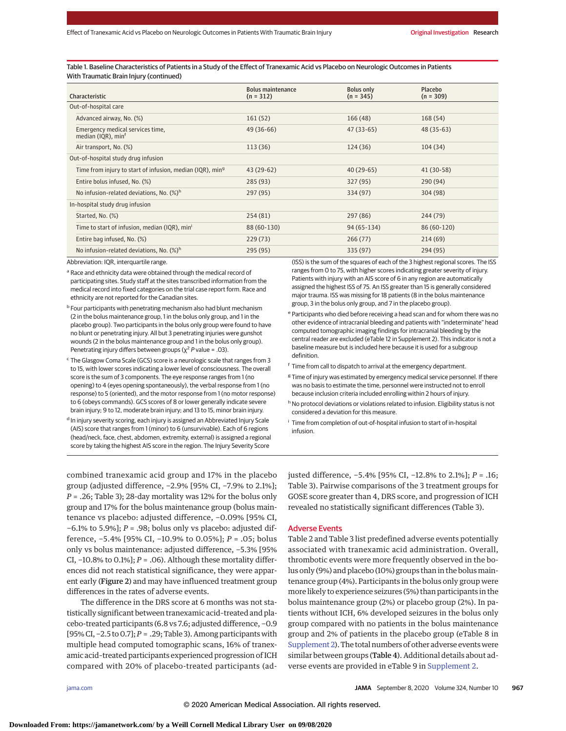Table 1. Baseline Characteristics of Patients in a Study of the Effect of Tranexamic Acid vs Placebo on Neurologic Outcomes in Patients With Traumatic Brain Injury (continued)

| <b>Characteristic</b>                                                 | <b>Bolus maintenance</b><br>$(n = 312)$ | <b>Bolus only</b><br>$(n = 345)$ | Placebo<br>$(n = 309)$ |
|-----------------------------------------------------------------------|-----------------------------------------|----------------------------------|------------------------|
| Out-of-hospital care                                                  |                                         |                                  |                        |
| Advanced airway, No. (%)                                              | 161(52)                                 | 166(48)                          | 168(54)                |
| Emergency medical services time,<br>median (IQR), min <sup>f</sup>    | $49(36-66)$                             | $47(33-65)$                      | 48 (35-63)             |
| Air transport, No. (%)                                                | 113(36)                                 | 124(36)                          | 104(34)                |
| Out-of-hospital study drug infusion                                   |                                         |                                  |                        |
| Time from injury to start of infusion, median (IQR), min <sup>g</sup> | $43(29-62)$                             | $40(29-65)$                      | 41 (30-58)             |
| Entire bolus infused, No. (%)                                         | 285(93)                                 | 327 (95)                         | 290(94)                |
| No infusion-related deviations, No. $(\%)^h$                          | 297 (95)                                | 334 (97)                         | 304 (98)               |
| In-hospital study drug infusion                                       |                                         |                                  |                        |
| Started, No. (%)                                                      | 254(81)                                 | 297 (86)                         | 244 (79)               |
| Time to start of infusion, median (IQR), min <sup>i</sup>             | 88 (60-130)                             | 94 (65-134)                      | 86 (60-120)            |
| Entire bag infused, No. (%)                                           | 229(73)                                 | 266(77)                          | 214(69)                |
| No infusion-related deviations, No. $(\%)^h$                          | 295 (95)                                | 335 (97)                         | 294 (95)               |

Abbreviation: IQR, interquartile range.

<sup>a</sup> Race and ethnicity data were obtained through the medical record of participating sites. Study staff at the sites transcribed information from the medical record into fixed categories on the trial case report form. Race and ethnicity are not reported for the Canadian sites.

- **b** Four participants with penetrating mechanism also had blunt mechanism (2 in the bolus maintenance group, 1 in the bolus only group, and 1 in the placebo group). Two participants in the bolus only group were found to have no blunt or penetrating injury. All but 3 penetrating injuries were gunshot wounds (2 in the bolus maintenance group and 1 in the bolus only group). Penetrating injury differs between groups ( $\chi^2$  P value = .03).
- <sup>c</sup> The Glasgow Coma Scale (GCS) score is a neurologic scale that ranges from 3 to 15, with lower scores indicating a lower level of consciousness. The overall score is the sum of 3 components. The eye response ranges from 1 (no opening) to 4 (eyes opening spontaneously), the verbal response from 1 (no response) to 5 (oriented), and the motor response from 1 (no motor response) to 6 (obeys commands). GCS scores of 8 or lower generally indicate severe brain injury; 9 to 12, moderate brain injury; and 13 to 15, minor brain injury.
- <sup>d</sup> In injury severity scoring, each injury is assigned an Abbreviated Injury Scale (AIS) score that ranges from 1 (minor) to 6 (unsurvivable). Each of 6 regions (head/neck, face, chest, abdomen, extremity, external) is assigned a regional score by taking the highest AIS score in the region. The Injury Severity Score

(ISS) is the sum of the squares of each of the 3 highest regional scores. The ISS ranges from 0 to 75, with higher scores indicating greater severity of injury. Patients with injury with an AIS score of 6 in any region are automatically assigned the highest ISS of 75. An ISS greater than 15 is generally considered major trauma. ISS was missing for 18 patients (8 in the bolus maintenance group, 3 in the bolus only group, and 7 in the placebo group).

- e Participants who died before receiving a head scan and for whom there was no other evidence of intracranial bleeding and patients with "indeterminate" head computed tomographic imaging findings for intracranial bleeding by the central reader are excluded (eTable 12 in Supplement 2). This indicator is not a baseline measure but is included here because it is used for a subgroup definition.
- <sup>f</sup> Time from call to dispatch to arrival at the emergency department.
- <sup>g</sup> Time of injury was estimated by emergency medical service personnel. If there was no basis to estimate the time, personnel were instructed not to enroll because inclusion criteria included enrolling within 2 hours of injury.
- h No protocol deviations or violations related to infusion. Eligibility status is not considered a deviation for this measure.
- <sup>i</sup> Time from completion of out-of-hospital infusion to start of in-hospital infusion.

combined tranexamic acid group and 17% in the placebo group (adjusted difference, −2.9% [95% CI, −7.9% to 2.1%]; *P* = .26; Table 3); 28-day mortality was 12% for the bolus only group and 17% for the bolus maintenance group (bolus maintenance vs placebo: adjusted difference, −0.09% [95% CI, −6.1% to 5.9%]; *P* = .98; bolus only vs placebo: adjusted difference, −5.4% [95% CI, −10.9% to 0.05%]; *P* = .05; bolus only vs bolus maintenance: adjusted difference, −5.3% [95% CI, −10.8% to 0.1%]; *P* = .06). Although these mortality differences did not reach statistical significance, they were apparent early (Figure 2) and may have influenced treatment group differences in the rates of adverse events.

The difference in the DRS score at 6 months was not statistically significant between tranexamic acid–treated and placebo-treated participants (6.8 vs 7.6; adjusted difference, −0.9 [95% CI, −2.5 to 0.7];*P* = .29; Table 3). Among participants with multiple head computed tomographic scans, 16% of tranexamic acid–treated participants experienced progression of ICH compared with 20% of placebo-treated participants (adjusted difference, −5.4% [95% CI, −12.8% to 2.1%]; *P* = .16; Table 3). Pairwise comparisons of the 3 treatment groups for GOSE score greater than 4, DRS score, and progression of ICH revealed no statistically significant differences (Table 3).

#### Adverse Events

Table 2 and Table 3 list predefined adverse events potentially associated with tranexamic acid administration. Overall, thrombotic events were more frequently observed in the bolus only (9%) and placebo (10%) groups than in the bolusmaintenance group (4%). Participants in the bolus only group were more likely to experience seizures (5%) than participants in the bolus maintenance group (2%) or placebo group (2%). In patients without ICH, 6% developed seizures in the bolus only group compared with no patients in the bolus maintenance group and 2% of patients in the placebo group (eTable 8 in [Supplement 2\)](https://jamanetwork.com/journals/jama/fullarticle/10.1001/jama.2020.8958?utm_campaign=articlePDF%26utm_medium=articlePDFlink%26utm_source=articlePDF%26utm_content=jama.2020.8958). The total numbers of other adverse events were similar between groups (Table 4). Additional details about adverse events are provided in eTable 9 in [Supplement 2.](https://jamanetwork.com/journals/jama/fullarticle/10.1001/jama.2020.8958?utm_campaign=articlePDF%26utm_medium=articlePDFlink%26utm_source=articlePDF%26utm_content=jama.2020.8958)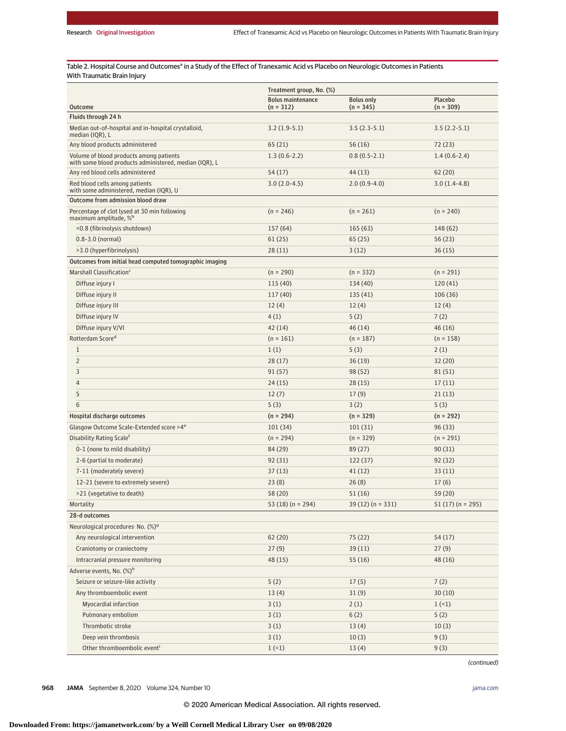Table 2. Hospital Course and Outcomes<sup>a</sup> in a Study of the Effect of Tranexamic Acid vs Placebo on Neurologic Outcomes in Patients With Traumatic Brain Injury

|                                                                                                   | Treatment group, No. (%) |                   |                   |  |
|---------------------------------------------------------------------------------------------------|--------------------------|-------------------|-------------------|--|
|                                                                                                   | <b>Bolus maintenance</b> | <b>Bolus only</b> | Placebo           |  |
| <b>Outcome</b><br>Fluids through 24 h                                                             | $(n = 312)$              | $(n = 345)$       | $(n = 309)$       |  |
| Median out-of-hospital and in-hospital crystalloid,<br>median (IQR), L                            | $3.2(1.9-5.1)$           | $3.5(2.3-5.1)$    | $3.5(2.2-5.1)$    |  |
| Any blood products administered                                                                   | 65(21)                   | 56(16)            | 72(23)            |  |
| Volume of blood products among patients<br>with some blood products administered, median (IQR), L | $1.3(0.6-2.2)$           | $0.8(0.5-2.1)$    | $1.4(0.6-2.4)$    |  |
| Any red blood cells administered                                                                  | 54(17)                   | 44(13)            | 62(20)            |  |
| Red blood cells among patients<br>with some administered, median (IQR), U                         | $3.0(2.0-4.5)$           | $2.0(0.9-4.0)$    | $3.0(1.4-4.8)$    |  |
| Outcome from admission blood draw                                                                 |                          |                   |                   |  |
| Percentage of clot lysed at 30 min following<br>maximum amplitude, % <sup>b</sup>                 | $(n = 246)$              | $(n = 261)$       | $(n = 240)$       |  |
| <0.8 (fibrinolysis shutdown)                                                                      | 157 (64)                 | 165(63)           | 148 (62)          |  |
| $0.8 - 3.0$ (normal)                                                                              | 61(25)<br>65(25)         |                   | 56(23)            |  |
| >3.0 (hyperfibrinolysis)                                                                          | 28(11)                   | 3(12)             | 36(15)            |  |
| Outcomes from initial head computed tomographic imaging                                           |                          |                   |                   |  |
| Marshall Classification <sup>c</sup>                                                              | $(n = 290)$              | $(n = 332)$       | $(n = 291)$       |  |
| Diffuse injury I                                                                                  | 115 (40)                 | 134 (40)          | 120(41)           |  |
| Diffuse injury II                                                                                 | 117 (40)                 | 135(41)           | 106(36)           |  |
| Diffuse injury III                                                                                | 12(4)                    | 12(4)             | 12(4)             |  |
| Diffuse injury IV                                                                                 | 4(1)                     | 5(2)              | 7(2)              |  |
| Diffuse injury V/VI                                                                               | 42(14)                   | 46(14)            | 46(16)            |  |
| Rotterdam Score <sup>d</sup>                                                                      | $(n = 161)$              | $(n = 187)$       | $(n = 158)$       |  |
| $\mathbf 1$                                                                                       | 1(1)                     | 5(3)              | 2(1)              |  |
| $\overline{2}$                                                                                    | 28(17)                   | 36 (19)           | 32(20)            |  |
| 3                                                                                                 | 91(57)                   | 98 (52)           | 81 (51)           |  |
| 4                                                                                                 | 24(15)                   | 28(15)            | 17(11)            |  |
| 5                                                                                                 | 12(7)                    | 17(9)             | 21(13)            |  |
| 6                                                                                                 | 5(3)                     | 3(2)              | 5(3)              |  |
| Hospital discharge outcomes                                                                       | $(n = 294)$              | $(n = 329)$       | $(n = 292)$       |  |
| Glasgow Outcome Scale-Extended score >4 <sup>e</sup>                                              | 101(34)                  | 101(31)           | 96(33)            |  |
| Disability Rating Scale <sup>f</sup>                                                              | $(n = 294)$              | $(n = 329)$       | $(n = 291)$       |  |
| 0-1 (none to mild disability)                                                                     | 84 (29)                  | 89(27)            | 90(31)            |  |
| 2-6 (partial to moderate)                                                                         | 92(31)                   | 122(37)           | 92(32)            |  |
| 7-11 (moderately severe)                                                                          | 37(13)                   | 41(12)            | 33(11)            |  |
| 12-21 (severe to extremely severe)                                                                | 23(8)                    | 26(8)             | 17(6)             |  |
| >21 (vegetative to death)                                                                         | 58 (20)                  | 51(16)            | 59 (20)           |  |
| Mortality                                                                                         | 53 $(18)(n = 294)$       | $39(12)(n = 331)$ | $51(17)(n = 295)$ |  |
| 28-d outcomes                                                                                     |                          |                   |                   |  |
| Neurological procedures <sup>,</sup> No. (%) <sup>9</sup>                                         |                          |                   |                   |  |
| Any neurological intervention                                                                     | 62(20)                   | 75 (22)           | 54(17)            |  |
| Craniotomy or craniectomy                                                                         | 27(9)                    | 39(11)            | 27(9)             |  |
| Intracranial pressure monitoring                                                                  | 48 (15)                  | 55(16)            | 48(16)            |  |
| Adverse events, No. (%) <sup>h</sup>                                                              |                          |                   |                   |  |
| Seizure or seizure-like activity                                                                  | 5(2)                     | 17(5)             | 7(2)              |  |
| Any thromboembolic event                                                                          | 13(4)                    | 31(9)             | 30(10)            |  |
| Myocardial infarction                                                                             | 3(1)                     | 2(1)              | 1(1)              |  |
| Pulmonary embolism                                                                                | 3(1)                     | 6(2)              | 5(2)              |  |
| Thrombotic stroke                                                                                 | 3(1)                     | 13(4)             | 10(3)             |  |
| Deep vein thrombosis                                                                              | 3(1)                     | 10(3)             | 9(3)              |  |
| Other thromboembolic event <sup>i</sup>                                                           | 1(1)                     | 13(4)             | 9(3)              |  |

(continued)

**968 JAMA** September 8, 2020 Volume 324, Number 10 **(Reprinted)** and a set of the printed of the printed of the printed of the printed of the printed of the printed of the printed of the printed of the printed of the print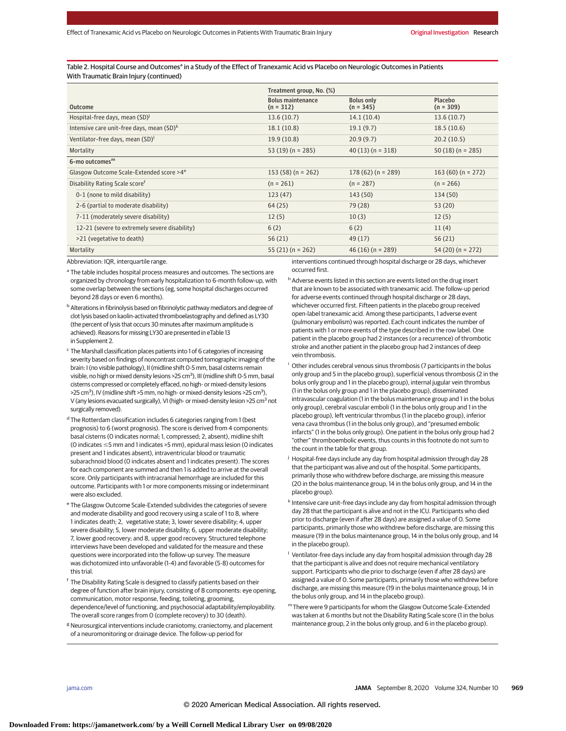Table 2. Hospital Course and Outcomes<sup>a</sup> in a Study of the Effect of Tranexamic Acid vs Placebo on Neurologic Outcomes in Patients With Traumatic Brain Injury (continued)

|                                                      | Treatment group, No. (%)                |                                  |                        |  |
|------------------------------------------------------|-----------------------------------------|----------------------------------|------------------------|--|
| <b>Outcome</b>                                       | <b>Bolus maintenance</b><br>$(n = 312)$ | <b>Bolus only</b><br>$(n = 345)$ | Placebo<br>$(n = 309)$ |  |
| Hospital-free days, mean (SD) <sup>j</sup>           | 13.6(10.7)                              | 14.1(10.4)                       | 13.6(10.7)             |  |
| Intensive care unit-free days, mean $(SD)^k$         | 18.1(10.8)                              | 19.1(9.7)                        | 18.5(10.6)             |  |
| Ventilator-free days, mean (SD) <sup>l</sup>         | 19.9(10.8)                              | 20.9(9.7)                        | 20.2(10.5)             |  |
| Mortality                                            | $53(19)(n = 285)$                       | $40(13)(n = 318)$                | $50(18)(n = 285)$      |  |
| $6$ -mo outcomes <sup>m</sup>                        |                                         |                                  |                        |  |
| Glasgow Outcome Scale-Extended score >4 <sup>e</sup> | $153(58)(n = 262)$                      | $178(62)(n = 289)$               | $163(60)(n = 272)$     |  |
| Disability Rating Scale score <sup>f</sup>           | $(n = 261)$                             | $(n = 287)$                      | $(n = 266)$            |  |
| 0-1 (none to mild disability)                        | 123(47)                                 | 143 (50)                         | 134 (50)               |  |
| 2-6 (partial to moderate disability)                 | 64(25)                                  | 79 (28)                          | 53(20)                 |  |
| 7-11 (moderately severe disability)                  | 12(5)                                   | 10(3)                            | 12(5)                  |  |
| 12-21 (severe to extremely severe disability)        | 6(2)                                    | 6(2)                             | 11(4)                  |  |
| >21 (vegetative to death)                            | 56(21)                                  | 49(17)                           | 56(21)                 |  |
| Mortality                                            | $55(21)(n = 262)$                       | $46(16)(n = 289)$                | $54(20)$ (n = 272)     |  |

Abbreviation: IOR, interquartile range.

<sup>a</sup> The table includes hospital process measures and outcomes. The sections are organized by chronology from early hospitalization to 6-month follow-up, with some overlap between the sections (eg, some hospital discharges occurred beyond 28 days or even 6 months).

- $^{\rm b}$  Alterations in fibrinolysis based on fibrinolytic pathway mediators and degree of clot lysis based on kaolin-activated thromboelastography and defined as LY30 (the percent of lysis that occurs 30 minutes after maximum amplitude is achieved). Reasons for missing LY30 are presented in eTable 13 in Supplement 2.
- $\epsilon$  The Marshall classification places patients into 1 of 6 categories of increasing severity based on findings of noncontrast computed tomographic imaging of the brain: I (no visible pathology), II (midline shift 0-5 mm, basal cisterns remain visible, no high or mixed density lesions >25 cm<sup>3</sup>), III (midline shift 0-5 mm, basal cisterns compressed or completely effaced, no high- or mixed-density lesions >25 cm<sup>3</sup>), IV (midline shift >5 mm, no high- or mixed-density lesions >25 cm<sup>3</sup>), V (any lesions evacuated surgically), VI (high- or mixed-density lesion >25 cm<sup>3</sup> not surgically removed).
- <sup>d</sup> The Rotterdam classification includes 6 categories ranging from 1 (best prognosis) to 6 (worst prognosis). The score is derived from 4 components: basal cisterns (0 indicates normal; 1, compressed; 2, absent), midline shift (0 indicates -5 mm and 1 indicates >5 mm), epidural mass lesion (0 indicates present and 1 indicates absent), intraventricular blood or traumatic subarachnoid blood (0 indicates absent and 1 indicates present). The scores for each component are summed and then 1 is added to arrive at the overall score. Only participants with intracranial hemorrhage are included for this outcome. Participants with 1 or more components missing or indeterminant were also excluded.
- <sup>e</sup> The Glasgow Outcome Scale-Extended subdivides the categories of severe and moderate disability and good recovery using a scale of 1 to 8, where 1 indicates death; 2, vegetative state; 3, lower severe disability; 4, upper severe disability; 5, lower moderate disability; 6, upper moderate disability; 7, lower good recovery; and 8, upper good recovery. Structured telephone interviews have been developed and validated for the measure and these questions were incorporated into the follow-up survey. The measure was dichotomized into unfavorable (1-4) and favorable (5-8) outcomes for this trial.
- <sup>f</sup> The Disability Rating Scale is designed to classify patients based on their degree of function after brain injury, consisting of 8 components: eye opening, communication, motor response, feeding, toileting, grooming, dependence/level of functioning, and psychosocial adaptability/employability. The overall score ranges from 0 (complete recovery) to 30 (death).
- <sup>g</sup> Neurosurgical interventions include craniotomy, craniectomy, and placement of a neuromonitoring or drainage device. The follow-up period for

interventions continued through hospital discharge or 28 days, whichever occurred first.

h Adverse events listed in this section are events listed on the drug insert that are known to be associated with tranexamic acid. The follow-up period for adverse events continued through hospital discharge or 28 days, whichever occurred first. Fifteen patients in the placebo group received open-label tranexamic acid. Among these participants, 1 adverse event (pulmonary embolism) was reported. Each count indicates the number of patients with 1 or more events of the type described in the row label. One patient in the placebo group had 2 instances (or a recurrence) of thrombotic stroke and another patient in the placebo group had 2 instances of deep vein thrombosis.

Other includes cerebral venous sinus thrombosis (7 participants in the bolus only group and 5 in the placebo group), superficial venous thrombosis (2 in the bolus only group and 1 in the placebo group), internal jugular vein thrombus (1 in the bolus only group and 1 in the placebo group), disseminated intravascular coagulation (1 in the bolus maintenance group and 1 in the bolus only group), cerebral vascular emboli (1 in the bolus only group and 1 in the placebo group), left ventricular thrombus (1 in the placebo group), inferior vena cava thrombus (1 in the bolus only group), and "presumed embolic infarcts" (1 in the bolus only group). One patient in the bolus only group had 2 "other" thromboembolic events, thus counts in this footnote do not sum to the count in the table for that group.

<sup>j</sup> Hospital-free days include any day from hospital admission through day 28 that the participant was alive and out of the hospital. Some participants, primarily those who withdrew before discharge, are missing this measure (20 in the bolus maintenance group, 14 in the bolus only group, and 14 in the placebo group).

<sup>k</sup> Intensive care unit–free days include any day from hospital admission through day 28 that the participant is alive and not in the ICU. Participants who died prior to discharge (even if after 28 days) are assigned a value of 0. Some participants, primarily those who withdrew before discharge, are missing this measure (19 in the bolus maintenance group, 14 in the bolus only group, and 14 in the placebo group).

- <sup>1</sup> Ventilator-free days include any day from hospital admission through day 28 that the participant is alive and does not require mechanical ventilatory support. Participants who die prior to discharge (even if after 28 days) are assigned a value of 0. Some participants, primarily those who withdrew before discharge, are missing this measure (19 in the bolus maintenance group, 14 in the bolus only group, and 14 in the placebo group).
- mThere were 9 participants for whom the Glasgow Outcome Scale-Extended was taken at 6 months but not the Disability Rating Scale score (1 in the bolus maintenance group, 2 in the bolus only group, and 6 in the placebo group).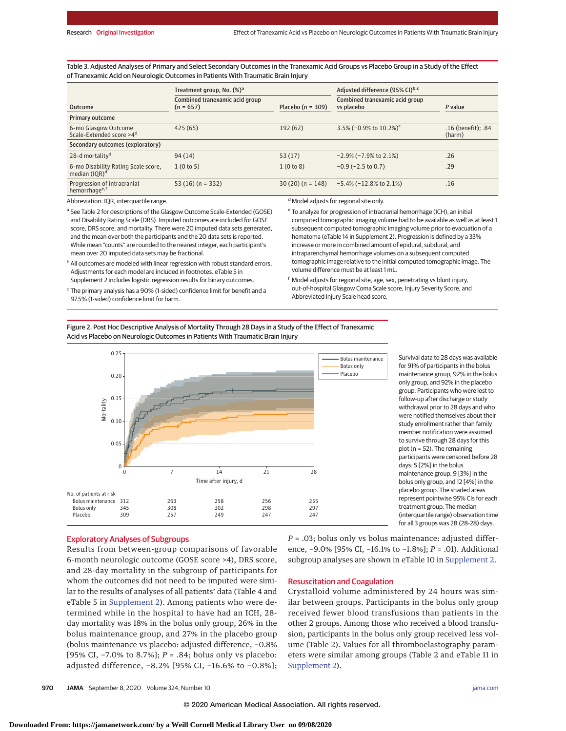Table 3. Adjusted Analyses of Primary and Select Secondary Outcomes in the Tranexamic Acid Groups vs Placebo Group in a Study of the Effect of Tranexamic Acid on Neurologic Outcomes in Patients With Traumatic Brain Injury

|                                                              | Treatment group, No. (%) <sup>a</sup>         |                       | Adjusted difference (95% CI)b,c                                                                                |                                  |
|--------------------------------------------------------------|-----------------------------------------------|-----------------------|----------------------------------------------------------------------------------------------------------------|----------------------------------|
| Outcome                                                      | Combined tranexamic acid group<br>$(n = 657)$ | Placebo ( $n = 309$ ) | Combined tranexamic acid group<br>vs placebo                                                                   | P value                          |
| <b>Primary outcome</b>                                       |                                               |                       |                                                                                                                |                                  |
| 6-mo Glasgow Outcome<br>Scale-Extended score >4 <sup>d</sup> | 425(65)                                       | 192 (62)              | 3.5% (-0.9% to $10.2%$ ) <sup>c</sup>                                                                          | $.16$ (benefit); $.84$<br>(harm) |
| Secondary outcomes (exploratory)                             |                                               |                       |                                                                                                                |                                  |
| 28-d mortality <sup>d</sup>                                  | 94(14)                                        | 53(17)                | $-2.9\%$ ( $-7.9\%$ to 2.1%)                                                                                   | .26                              |
| 6-mo Disability Rating Scale score,<br>median $(IQR)^d$      | 1(0 to 5)                                     | 1(0 to 8)             | $-0.9$ ( $-2.5$ to 0.7)                                                                                        | .29                              |
| Progression of intracranial<br>hemorrhage <sup>e, f</sup>    | $53(16)(n = 332)$                             | $30(20)(n = 148)$     | $-5.4\%$ ( $-12.8\%$ to 2.1%)                                                                                  | .16                              |
|                                                              |                                               |                       | des transportes and the state of the state of the state of the state of the state of the state of the state of |                                  |

Abbreviation: IQR, interquartile range.

- <sup>a</sup> See Table 2 for descriptions of the Glasgow Outcome Scale-Extended (GOSE) and Disability Rating Scale (DRS). Imputed outcomes are included for GOSE score, DRS score, and mortality. There were 20 imputed data sets generated, and the mean over both the participants and the 20 data sets is reported. While mean "counts" are rounded to the nearest integer, each participant's mean over 20 imputed data sets may be fractional.
- **b** All outcomes are modeled with linear regression with robust standard errors. Adjustments for each model are included in footnotes. eTable 5 in Supplement 2 includes logistic regression results for binary outcomes.
- <sup>c</sup> The primary analysis has a 90% (1-sided) confidence limit for benefit and a 97.5% (1-sided) confidence limit for harm.

<sup>d</sup> Model adjusts for regional site only.

<sup>e</sup> To analyze for progression of intracranial hemorrhage (ICH), an initial computed tomographic imaging volume had to be available as well as at least 1 subsequent computed tomographic imaging volume prior to evacuation of a hematoma (eTable 14 in Supplement 2). Progression is defined by a 33% increase or more in combined amount of epidural, subdural, and intraparenchymal hemorrhage volumes on a subsequent computed tomographic image relative to the initial computed tomographic image. The volume difference must be at least 1 mL.

<sup>f</sup> Model adjusts for regional site, age, sex, penetrating vs blunt injury, out-of-hospital Glasgow Coma Scale score, Injury Severity Score, and Abbreviated Injury Scale head score.

Figure 2. Post Hoc Descriptive Analysis of Mortality Through 28 Days in a Study of the Effect of Tranexamic Acid vs Placebo on Neurologic Outcomes in Patients With Traumatic Brain Injury



Survival data to 28 days was available for 91% of participants in the bolus maintenance group, 92% in the bolus only group, and 92% in the placebo group. Participants who were lost to follow-up after discharge or study withdrawal prior to 28 days and who were notified themselves about their study enrollment rather than family member notification were assumed to survive through 28 days for this plot (n = 52). The remaining participants were censored before 28 days: 5 [2%] in the bolus maintenance group, 9 [3%] in the bolus only group, and 12 [4%] in the placebo group. The shaded areas represent pointwise 95% CIs for each treatment group. The median (interquartile range) observation time for all 3 groups was 28 (28-28) days.

# Exploratory Analyses of Subgroups

Results from between-group comparisons of favorable 6-month neurologic outcome (GOSE score >4), DRS score, and 28-day mortality in the subgroup of participants for whom the outcomes did not need to be imputed were similar to the results of analyses of all patients' data (Table 4 and eTable 5 in [Supplement 2\)](https://jamanetwork.com/journals/jama/fullarticle/10.1001/jama.2020.8958?utm_campaign=articlePDF%26utm_medium=articlePDFlink%26utm_source=articlePDF%26utm_content=jama.2020.8958). Among patients who were determined while in the hospital to have had an ICH, 28 day mortality was 18% in the bolus only group, 26% in the bolus maintenance group, and 27% in the placebo group (bolus maintenance vs placebo: adjusted difference, −0.8% [95% CI, −7.0% to 8.7%]; *P* = .84; bolus only vs placebo: adjusted difference, −8.2% [95% CI, −16.6% to −0.8%]; *P* = .03; bolus only vs bolus maintenance: adjusted difference, −9.0% [95% CI, −16.1% to −1.8%]; *P* = .01). Additional subgroup analyses are shown in eTable 10 in [Supplement 2.](https://jamanetwork.com/journals/jama/fullarticle/10.1001/jama.2020.8958?utm_campaign=articlePDF%26utm_medium=articlePDFlink%26utm_source=articlePDF%26utm_content=jama.2020.8958)

# Resuscitation and Coagulation

Crystalloid volume administered by 24 hours was similar between groups. Participants in the bolus only group received fewer blood transfusions than patients in the other 2 groups. Among those who received a blood transfusion, participants in the bolus only group received less volume (Table 2). Values for all thromboelastography parameters were similar among groups (Table 2 and eTable 11 in [Supplement 2\)](https://jamanetwork.com/journals/jama/fullarticle/10.1001/jama.2020.8958?utm_campaign=articlePDF%26utm_medium=articlePDFlink%26utm_source=articlePDF%26utm_content=jama.2020.8958).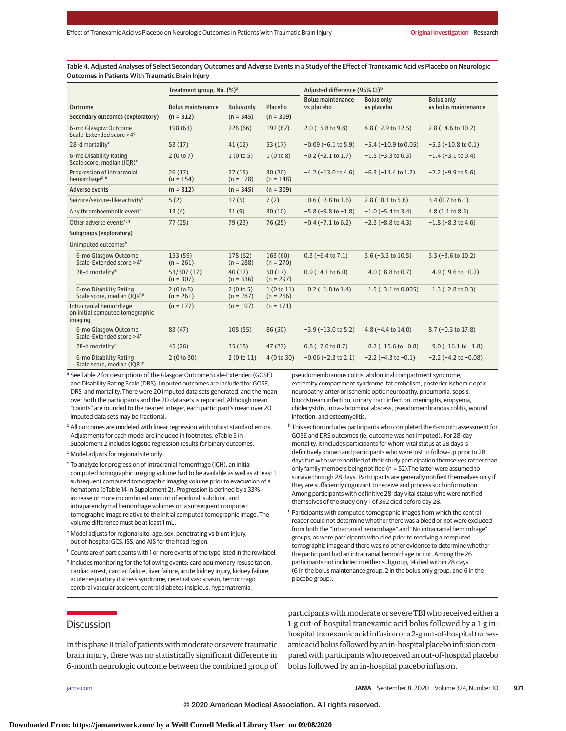Table 4. Adjusted Analyses of Select Secondary Outcomes and Adverse Events in a Study of the Effect of Tranexamic Acid vs Placebo on Neurologic Outcomes in Patients With Traumatic Brain Injury

|                                                                       | Treatment group, No. $(\%)^a$ |                                     | Adjusted difference (95% CI) <sup>b</sup> |                                        |                                 |                                           |
|-----------------------------------------------------------------------|-------------------------------|-------------------------------------|-------------------------------------------|----------------------------------------|---------------------------------|-------------------------------------------|
| Outcome                                                               | <b>Bolus maintenance</b>      | <b>Bolus only</b>                   | Placebo                                   | <b>Bolus maintenance</b><br>vs placebo | <b>Bolus only</b><br>vs placebo | <b>Bolus only</b><br>vs bolus maintenance |
| Secondary outcomes (exploratory)                                      | $(n = 312)$                   | $(n = 345)$                         | $(n = 309)$                               |                                        |                                 |                                           |
| 6-mo Glasgow Outcome<br>Scale-Extended score >4 <sup>c</sup>          | 198(63)                       | 226(66)                             | 192(62)                                   | $2.0$ (-5.8 to 9.8)                    | $4.8$ (-2.9 to 12.5)            | $2.8$ (-4.6 to 10.2)                      |
| 28-d mortality <sup>c</sup>                                           | 53(17)                        | 41(12)                              | 53(17)                                    | $-0.09$ ( $-6.1$ to 5.9)               | $-5.4$ ( $-10.9$ to 0.05)       | $-5.3$ ( $-10.8$ to 0.1)                  |
| 6-mo Disability Rating<br>Scale score, median (IQR) <sup>c</sup>      | 2(0 to 7)                     | 1(0 to 5)                           | 1(0 to 8)                                 | $-0.2$ ( $-2.1$ to 1.7)                | $-1.5$ ( $-3.3$ to 0.3)         | $-1.4$ ( $-3.1$ to 0.4)                   |
| Progression of intracranial<br>hemorrhage <sup>d,e</sup>              | 26(17)<br>$(n = 154)$         | 27(15)<br>$(n = 178)$               | 30(20)<br>$(n = 148)$                     | $-4.2$ ( $-13.0$ to 4.6)               | $-6.3$ ( $-14.4$ to 1.7)        | $-2.2$ ( $-9.9$ to 5.6)                   |
| Adverse events <sup>f</sup>                                           | $(n = 312)$                   | $(n = 345)$                         | $(n = 309)$                               |                                        |                                 |                                           |
| Seizure/seizure-like activity <sup>c</sup>                            | 5(2)                          | 17(5)                               | 7(2)                                      | $-0.6$ ( $-2.8$ to 1.6)                | $2.8(-0.1 to 5.6)$              | $3.4(0.7 \text{ to } 6.1)$                |
| Any thromboembolic event <sup>c</sup>                                 | 13(4)                         | 31(9)                               | 30(10)                                    | $-5.8$ ( $-9.8$ to $-1.8$ )            | $-1.0$ ( $-5.4$ to 3.4)         | 4.8(1.1 to 8.5)                           |
| Other adverse events <sup>c, g</sup>                                  | 77(25)                        | 79 (23)                             | 76(25)                                    | $-0.4$ ( $-7.1$ to 6.2)                | $-2.3$ ( $-8.8$ to 4.3)         | $-1.8$ ( $-8.3$ to 4.6)                   |
| Subgroups (exploratory)                                               |                               |                                     |                                           |                                        |                                 |                                           |
| Unimputed outcomesh                                                   |                               |                                     |                                           |                                        |                                 |                                           |
| 6-mo Glasgow Outcome<br>Scale-Extended score >4 <sup>e</sup>          | 153 (59)<br>$(n = 261)$       | 178 (62)<br>$(n = 288)$             | 163(60)<br>$(n = 270)$                    | $0.3$ (-6.4 to 7.1)                    | $3.6$ ( $-3.3$ to $10.5$ )      | $3.3$ ( $-3.6$ to $10.2$ )                |
| 28-d mortality <sup>e</sup>                                           | 53/307 (17)<br>$(n = 307)$    | 40(12)<br>$(n = 336)$               | 50(17)<br>$(n = 297)$                     | $0.9(-4.1 to 6.0)$                     | $-4.0$ ( $-8.8$ to 0.7)         | $-4.9$ ( $-9.6$ to $-0.2$ )               |
| 6-mo Disability Rating<br>Scale score, median (IQR) <sup>e</sup>      | 2(0 to 8)<br>$(n = 261)$      | 2(0 <sub>to</sub> 5)<br>$(n = 287)$ | 1(0 to 11)<br>$(n = 266)$                 | $-0.2$ ( $-1.8$ to 1.4)                | $-1.5$ ( $-3.1$ to 0.005)       | $-1.3$ ( $-2.8$ to 0.3)                   |
| Intracranial hemorrhage<br>on initial computed tomographic<br>imaging | $(n = 177)$                   | $(n = 197)$                         | $(n = 171)$                               |                                        |                                 |                                           |
| 6-mo Glasgow Outcome<br>Scale-Extended score >4 <sup>e</sup>          | 83 (47)                       | 108(55)                             | 86 (50)                                   | $-3.9$ ( $-13.0$ to 5.2)               | $4.8(-4.4 \text{ to } 14.0)$    | 8.7 (-0.3 to 17.8)                        |
| 28-d mortality <sup>e</sup>                                           | 45(26)                        | 35(18)                              | 47(27)                                    | $0.8$ ( $-7.0$ to 8.7)                 | $-8.2$ ( $-15.6$ to $-0.8$ )    | $-9.0$ ( $-16.1$ to $-1.8$ )              |
| 6-mo Disability Rating<br>Scale score, median (IOR) <sup>e</sup>      | 2(0 to 30)                    | 2(0 to 11)                          | 4(0 to 30)                                | $-0.06$ ( $-2.3$ to $2.1$ )            | $-2.2$ ( $-4.3$ to $-0.1$ )     | $-2.2$ ( $-4.2$ to $-0.08$ )              |

a See Table 2 for descriptions of the Glasgow Outcome Scale-Extended (GOSE) and Disability Rating Scale (DRS). Imputed outcomes are included for GOSE, DRS, and mortality. There were 20 imputed data sets generated, and the mean over both the participants and the 20 data sets is reported. Although mean "counts" are rounded to the nearest integer, each participant's mean over 20 imputed data sets may be fractional.

- <sup>b</sup> All outcomes are modeled with linear regression with robust standard errors. Adjustments for each model are included in footnotes. eTable 5 in Supplement 2 includes logistic regression results for binary outcomes.
- <sup>c</sup> Model adjusts for regional site only.
- <sup>d</sup> To analyze for progression of intracranial hemorrhage (ICH), an initial computed tomographic imaging volume had to be available as well as at least 1 subsequent computed tomographic imaging volume prior to evacuation of a hematoma (eTable 14 in Supplement 2). Progression is defined by a 33% increase or more in combined amount of epidural, subdural, and intraparenchymal hemorrhage volumes on a subsequent computed tomographic image relative to the initial computed tomographic image. The volume difference must be at least 1 mL.
- <sup>e</sup> Model adjusts for regional site, age, sex, penetrating vs blunt injury, out-of-hospital GCS, ISS, and AIS for the head region.
- <sup>f</sup> Counts are of participants with 1 or more events of the type listed in the row label.
- <sup>g</sup> Includes monitoring for the following events: cardiopulmonary resuscitation, cardiac arrest, cardiac failure, liver failure, acute kidney injury, kidney failure, acute respiratory distress syndrome, cerebral vasospasm, hemorrhagic cerebral vascular accident, central diabetes insipidus, hypernatremia,

pseudomembranous colitis, abdominal compartment syndrome, extremity compartment syndrome, fat embolism, posterior ischemic optic neuropathy, anterior ischemic optic neuropathy, pneumonia, sepsis, bloodstream infection, urinary tract infection, meningitis, empyema, cholecystitis, intra-abdominal abscess, pseudomembranous colitis, wound infection, and osteomyelitis.

- h This section includes participants who completed the 6-month assessment for GOSE and DRS outcomes (ie, outcome was not imputed). For 28-day mortality, it includes participants for whom vital status at 28 days is definitively known and participants who were lost to follow-up prior to 28 days but who were notified of their study participation themselves rather than only family members being notified (n = 52).The latter were assumed to survive through 28 days. Participants are generally notified themselves only if they are sufficiently cognizant to receive and process such information. Among participants with definitive 28-day vital status who were notified themselves of the study only 1 of 362 died before day 28.
- <sup>i</sup> Participants with computed tomographic images from which the central reader could not determine whether there was a bleed or not were excluded from both the "Intracranial hemorrhage" and "No intracranial hemorrhage" groups, as were participants who died prior to receiving a computed tomographic image and there was no other evidence to determine whether the participant had an intracranial hemorrhage or not. Among the 26 participants not included in either subgroup, 14 died within 28 days (6 in the bolus maintenance group, 2 in the bolus only group, and 6 in the placebo group).

# **Discussion**

In this phase II trial of patients with moderate or severe traumatic brain injury, there was no statistically significant difference in 6-month neurologic outcome between the combined group of

participants with moderate or severe TBI who received either a 1-g out-of-hospital tranexamic acid bolus followed by a 1-g inhospital tranexamic acid infusion or a 2-g out-of-hospital tranexamic acid bolus followed by an in-hospital placebo infusion compared with participants who received an out-of-hospital placebo bolus followed by an in-hospital placebo infusion.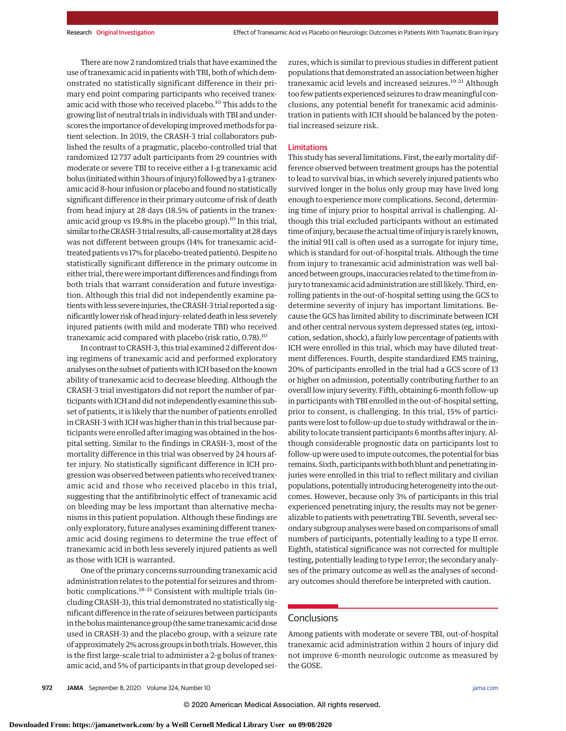There are now 2 randomized trials that have examined the use of tranexamic acid in patients with TBI, both of which demonstrated no statistically significant difference in their primary end point comparing participants who received tranexamic acid with those who received placebo.<sup>10</sup> This adds to the growing list of neutral trials in individuals with TBI and underscores the importance of developing improved methods for patient selection. In 2019, the CRASH-3 trial collaborators published the results of a pragmatic, placebo-controlled trial that randomized 12 737 adult participants from 29 countries with moderate or severe TBI to receive either a 1-g tranexamic acid bolus (initiated within 3 hours of injury) followed by a 1-g tranexamic acid 8-hour infusion or placebo and found no statistically significant difference in their primary outcome of risk of death from head injury at 28 days (18.5% of patients in the tranexamic acid group vs 19.8% in the placebo group).<sup>10</sup> In this trial, similar to the CRASH-3 trial results, all-cause mortality at 28 days was not different between groups (14% for tranexamic acid– treated patients vs 17% for placebo-treated patients). Despite no statistically significant difference in the primary outcome in either trial, there were important differences and findings from both trials that warrant consideration and future investigation. Although this trial did not independently examine patients with less severe injuries, the CRASH-3 trial reported a significantly lower risk of head injury–related death in less severely injured patients (with mild and moderate TBI) who received tranexamic acid compared with placebo (risk ratio, 0.78).<sup>10</sup>

In contrast to CRASH-3, this trial examined 2 different dosing regimens of tranexamic acid and performed exploratory analyses on the subset of patients with ICH based on the known ability of tranexamic acid to decrease bleeding. Although the CRASH-3 trial investigators did not report the number of participantswith ICH and did not independently examine this subset of patients, it is likely that the number of patients enrolled in CRASH-3 with ICH was higher than in this trial because participants were enrolled after imaging was obtained in the hospital setting. Similar to the findings in CRASH-3, most of the mortality difference in this trial was observed by 24 hours after injury. No statistically significant difference in ICH progression was observed between patients who received tranexamic acid and those who received placebo in this trial, suggesting that the antifibrinolytic effect of tranexamic acid on bleeding may be less important than alternative mechanisms in this patient population. Although these findings are only exploratory, future analyses examining different tranexamic acid dosing regimens to determine the true effect of tranexamic acid in both less severely injured patients as well as those with ICH is warranted.

One of the primary concerns surrounding tranexamic acid administration relates to the potential for seizures and thrombotic complications.18-21 Consistent with multiple trials (including CRASH-3), this trial demonstrated no statistically significant difference in the rate of seizures between participants in the bolus maintenance group (the same tranexamic acid dose used in CRASH-3) and the placebo group, with a seizure rate of approximately 2% across groups in both trials. However, this is the first large-scale trial to administer a 2-g bolus of tranexamic acid, and 5% of participants in that group developed seizures, which is similar to previous studies in different patient populations that demonstrated an association between higher tranexamic acid levels and increased seizures.<sup>19-21</sup> Although too few patients experienced seizures to drawmeaningful conclusions, any potential benefit for tranexamic acid administration in patients with ICH should be balanced by the potential increased seizure risk.

# Limitations

This study has several limitations. First, the earlymortality difference observed between treatment groups has the potential to lead to survival bias, in which severely injured patients who survived longer in the bolus only group may have lived long enough to experience more complications. Second, determining time of injury prior to hospital arrival is challenging. Although this trial excluded participants without an estimated time of injury, because the actual time of injury is rarely known, the initial 911 call is often used as a surrogate for injury time, which is standard for out-of-hospital trials. Although the time from injury to tranexamic acid administration was well balanced between groups, inaccuracies related to the time from injury to tranexamic acid administration are still likely. Third, enrolling patients in the out-of-hospital setting using the GCS to determine severity of injury has important limitations. Because the GCS has limited ability to discriminate between ICH and other central nervous system depressed states (eg, intoxication, sedation, shock), a fairly low percentage of patients with ICH were enrolled in this trial, which may have diluted treatment differences. Fourth, despite standardized EMS training, 20% of participants enrolled in the trial had a GCS score of 13 or higher on admission, potentially contributing further to an overall low injury severity. Fifth, obtaining 6-month follow-up in participants with TBI enrolled in the out-of-hospital setting, prior to consent, is challenging. In this trial, 15% of participants were lost to follow-up due to study withdrawal or the inability to locate transient participants 6 months after injury. Although considerable prognostic data on participants lost to follow-up were used to impute outcomes, the potential for bias remains. Sixth, participants with both blunt and penetrating injuries were enrolled in this trial to reflect military and civilian populations, potentially introducing heterogeneity into the outcomes. However, because only 3% of participants in this trial experienced penetrating injury, the results may not be generalizable to patients with penetrating TBI. Seventh, several secondary subgroup analyses were based on comparisons of small numbers of participants, potentially leading to a type II error. Eighth, statistical significance was not corrected for multiple testing, potentially leading to type I error; the secondary analyses of the primary outcome as well as the analyses of secondary outcomes should therefore be interpreted with caution.

# **Conclusions**

Among patients with moderate or severe TBI, out-of-hospital tranexamic acid administration within 2 hours of injury did not improve 6-month neurologic outcome as measured by the GOSE.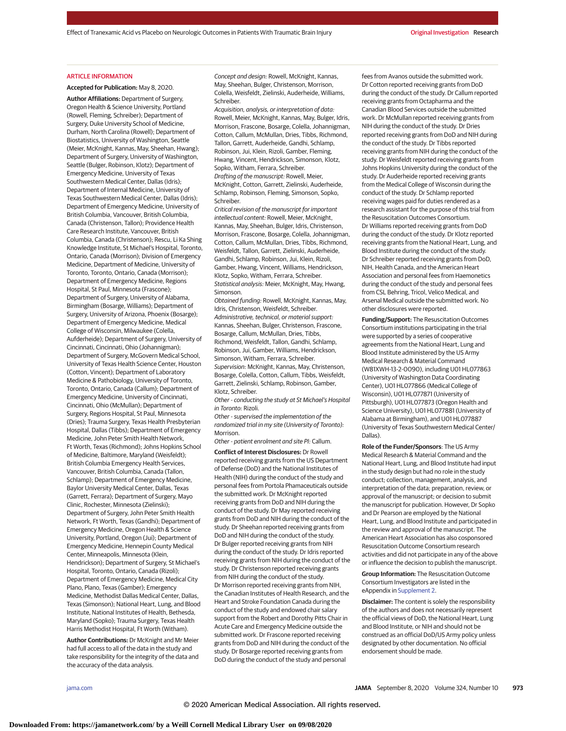#### ARTICLE INFORMATION

**Accepted for Publication:** May 8, 2020.

**Author Affiliations:** Department of Surgery, Oregon Health & Science University, Portland (Rowell, Fleming, Schreiber); Department of Surgery, Duke University School of Medicine, Durham, North Carolina (Rowell); Department of Biostatistics, University of Washington, Seattle (Meier, McKnight, Kannas, May, Sheehan, Hwang); Department of Surgery, University of Washington, Seattle (Bulger, Robinson, Klotz); Department of Emergency Medicine, University of Texas Southwestern Medical Center, Dallas (Idris); Department of Internal Medicine, University of Texas Southwestern Medical Center, Dallas (Idris); Department of Emergency Medicine, University of British Columbia, Vancouver, British Columbia, Canada (Christenson, Tallon); Providence Health Care Research Institute, Vancouver, British Columbia, Canada (Christenson); Rescu, Li Ka Shing Knowledge Institute, St Michael's Hospital, Toronto, Ontario, Canada (Morrison); Division of Emergency Medicine, Department of Medicine, University of Toronto, Toronto, Ontario, Canada (Morrison); Department of Emergency Medicine, Regions Hospital, St Paul, Minnesota (Frascone); Department of Surgery, University of Alabama, Birmingham (Bosarge, Williams); Department of Surgery, University of Arizona, Phoenix (Bosarge); Department of Emergency Medicine, Medical College of Wisconsin, Milwaukee (Colella, Aufderheide); Department of Surgery, University of Cincinnati, Cincinnati, Ohio (Johannigman); Department of Surgery, McGovern Medical School, University of Texas Health Science Center, Houston (Cotton, Vincent); Department of Laboratory Medicine & Pathobiology, University of Toronto, Toronto, Ontario, Canada (Callum); Department of Emergency Medicine, University of Cincinnati, Cincinnati, Ohio (McMullan); Department of Surgery, Regions Hospital, St Paul, Minnesota (Dries); Trauma Surgery, Texas Health Presbyterian Hospital, Dallas (Tibbs); Department of Emergency Medicine, John Peter Smith Health Network, Ft Worth, Texas (Richmond); Johns Hopkins School of Medicine, Baltimore, Maryland (Weisfeldt); British Columbia Emergency Health Services, Vancouver, British Columbia, Canada (Tallon, Schlamp); Department of Emergency Medicine, Baylor University Medical Center, Dallas, Texas (Garrett, Ferrara); Department of Surgery, Mayo Clinic, Rochester, Minnesota (Zielinski); Department of Surgery, John Peter Smith Health Network, Ft Worth, Texas (Gandhi); Department of Emergency Medicine, Oregon Health & Science University, Portland, Oregon (Jui); Department of Emergency Medicine, Hennepin County Medical Center, Minneapolis, Minnesota (Klein, Hendrickson); Department of Surgery, St Michael's Hospital, Toronto, Ontario, Canada (Rizoli); Department of Emergency Medicine, Medical City Plano, Plano, Texas (Gamber); Emergency Medicine, Methodist Dallas Medical Center, Dallas, Texas (Simonson); National Heart, Lung, and Blood Institute, National Institutes of Health, Bethesda, Maryland (Sopko); Trauma Surgery, Texas Health Harris Methodist Hospital, Ft Worth (Witham).

**Author Contributions:** Dr McKnight and Mr Meier had full access to all of the data in the study and take responsibility for the integrity of the data and the accuracy of the data analysis.

Concept and design: Rowell, McKnight, Kannas, May, Sheehan, Bulger, Christenson, Morrison, Colella, Weisfeldt, Zielinski, Auderheide, Williams, Schreiber.

Acquisition, analysis, or interpretation of data: Rowell, Meier, McKnight, Kannas, May, Bulger, Idris, Morrison, Frascone, Bosarge, Colella, Johannigman, Cotton, Callum, McMullan, Dries, Tibbs, Richmond, Tallon, Garrett, Auderheide, Gandhi, Schlamp, Robinson, Jui, Klein, Rizoli, Gamber, Fleming, Hwang, Vincent, Hendrickson, Simonson, Klotz, Sopko, Witham, Ferrara, Schreiber.

Drafting of the manuscript: Rowell, Meier, McKnight, Cotton, Garrett, Zielinski, Auderheide, Schlamp, Robinson, Fleming, Simonson, Sopko, Schreiber.

Critical revision of the manuscript for important intellectual content: Rowell, Meier, McKnight, Kannas, May, Sheehan, Bulger, Idris, Christenson, Morrison, Frascone, Bosarge, Colella, Johannigman, Cotton, Callum, McMullan, Dries, Tibbs, Richmond, Weisfeldt, Tallon, Garrett, Zielinski, Auderheide, Gandhi, Schlamp, Robinson, Jui, Klein, Rizoli, Gamber, Hwang, Vincent, Williams, Hendrickson, Klotz, Sopko, Witham, Ferrara, Schreiber. Statistical analysis: Meier, McKnight, May, Hwang, Simonson.

Obtained funding: Rowell, McKnight, Kannas, May, Idris, Christenson, Weisfeldt, Schreiber. Administrative, technical, or material support: Kannas, Sheehan, Bulger, Christenson, Frascone, Bosarge, Callum, McMullan, Dries, Tibbs, Richmond, Weisfeldt, Tallon, Gandhi, Schlamp, Robinson, Jui, Gamber, Williams, Hendrickson, Simonson, Witham, Ferrara, Schreiber. Supervision: McKnight, Kannas, May, Christenson, Bosarge, Colella, Cotton, Callum, Tibbs, Weisfeldt, Garrett, Zielinski, Schlamp, Robinson, Gamber, Klotz, Schreiber.

Other - conducting the study at St Michael's Hospital in Toronto: Rizoli.

Other - supervised the implementation of the randomized trial in my site (University of Toronto): **Morrison** 

Other - patient enrolment and site PI: Callum.

**Conflict of Interest Disclosures:** Dr Rowell reported receiving grants from the US Department of Defense (DoD) and the National Institutes of Health (NIH) during the conduct of the study and personal fees from Portola Phamaceuticals outside the submitted work. Dr McKnight reported receiving grants from DoD and NIH during the conduct of the study. Dr May reported receiving grants from DoD and NIH during the conduct of the study. Dr Sheehan reported receiving grants from DoD and NIH during the conduct of the study. Dr Bulger reported receiving grants from NIH during the conduct of the study. Dr Idris reported receiving grants from NIH during the conduct of the study. Dr Christenson reported receiving grants from NIH during the conduct of the study. Dr Morrison reported receiving grants from NIH, the Canadian Institutes of Health Research, and the Heart and Stroke Foundation Canada during the conduct of the study and endowed chair salary support from the Robert and Dorothy Pitts Chair in Acute Care and Emergency Medicine outside the submitted work. Dr Frascone reported receiving grants from DoD and NIH during the conduct of the study. Dr Bosarge reported receiving grants from DoD during the conduct of the study and personal

fees from Avanos outside the submitted work. Dr Cotton reported receiving grants from DoD during the conduct of the study. Dr Callum reported receiving grants from Octapharma and the Canadian Blood Services outside the submitted work. Dr McMullan reported receiving grants from NIH during the conduct of the study. Dr Dries reported receiving grants from DoD and NIH during the conduct of the study. Dr Tibbs reported receiving grants from NIH during the conduct of the study. Dr Weisfeldt reported receiving grants from Johns Hopkins University during the conduct of the study. Dr Auderheide reported receiving grants from the Medical College of Wisconsin during the conduct of the study. Dr Schlamp reported receiving wages paid for duties rendered as a research assistant for the purpose of this trial from the Resuscitation Outcomes Consortium. Dr Williams reported receiving grants from DoD during the conduct of the study. Dr Klotz reported receiving grants from the National Heart, Lung, and Blood Institute during the conduct of the study. Dr Schreiber reported receiving grants from DoD, NIH, Health Canada, and the American Heart Association and personal fees from Haemonetics during the conduct of the study and personal fees from CSL Behring, Tricol, Velico Medical, and Arsenal Medical outside the submitted work. No other disclosures were reported.

**Funding/Support:** The Resuscitation Outcomes Consortium institutions participating in the trial were supported by a series of cooperative agreements from the National Heart, Lung and Blood Institute administered by the US Army Medical Research & Material Command (W81XWH-13-2-0090), including U01 HL077863 (University of Washington Data Coordinating Center), U01 HL077866 (Medical College of Wisconsin), U01 HL077871 (University of Pittsburgh), U01 HL077873 (Oregon Health and Science University), U01 HL077881 (University of Alabama at Birmingham), and U01 HL077887 (University of Texas Southwestern Medical Center/ Dallas).

**Role of the Funder/Sponsors**: The US Army Medical Research & Material Command and the National Heart, Lung, and Blood Institute had input in the study design but had no role in the study conduct; collection, management, analysis, and interpretation of the data; preparation, review, or approval of the manuscript; or decision to submit the manuscript for publication. However, Dr Sopko and Dr Pearson are employed by the National Heart, Lung, and Blood Institute and participated in the review and approval of the manuscript. The American Heart Association has also cosponsored Resuscitation Outcome Consortium research activities and did not participate in any of the above or influence the decision to publish the manuscript.

**Group Information:** The Resuscitation Outcome Consortium Investigators are listed in the eAppendix in [Supplement 2.](https://jamanetwork.com/journals/jama/fullarticle/10.1001/jama.2020.8958?utm_campaign=articlePDF%26utm_medium=articlePDFlink%26utm_source=articlePDF%26utm_content=jama.2020.8958)

**Disclaimer:** The content is solely the responsibility of the authors and does not necessarily represent the official views of DoD, the National Heart, Lung and Blood Institute, or NIH and should not be construed as an official DoD/US Army policy unless designated by other documentation. No official endorsement should be made.